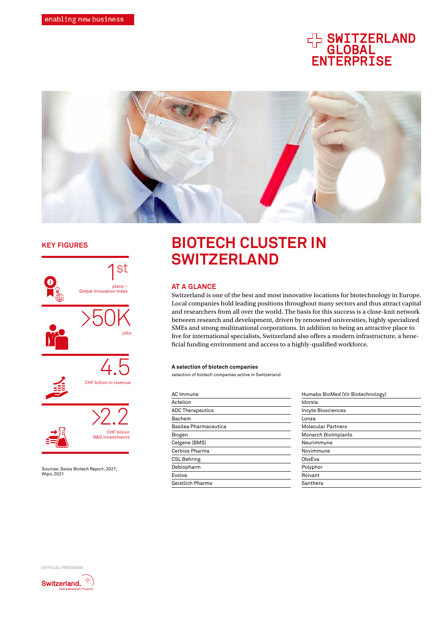# **CH SWITZERLAND<br>GLOBAL<br>ENTERPRISE**



# **KEY FIGURES**



Sources: Swiss Biotech Report, 2021;<br>Wipo. 2021

# **BIOTECH CLUSTER IN SWITZERLAND**

#### **AT A GLANCE**

Switzerland is one of the best and most innovative locations for biotechnology in Europe. Local companies hold leading positions throughout many sectors and thus attract capital and researchers from all over the world. The basis for this success is a close-knit network between research and development, driven by renowned universities, highly specialized SMEs and strong multinational corporations. In addition to being an attractive place to live for international specialists, Switzerland also offers a modern infrastructure, a beneficial funding environment and access to a highly-qualified workforce.

#### A selection of biotech companies

selection of biotech companies active in Switzerland

| <b>AC</b> Immune        | Humabs BioMed (Vir Biotechn |  |
|-------------------------|-----------------------------|--|
| Actelion                | Idorsia                     |  |
| <b>ADC Therapeutics</b> | <b>Incyte Biosciences</b>   |  |
| Bachem                  | Lonza                       |  |
| Basilea Pharmaceutica   | <b>Molecular Partners</b>   |  |
| Biogen                  | <b>Monarch Biolmplants</b>  |  |
| Celgene (BMS)           | Neurimmune                  |  |
| Cerbios Pharma          | Novimmune                   |  |
| <b>CSL Behring</b>      | ObsEva                      |  |
| Debiopharm              | Polyphor                    |  |
| Evolva                  | Roivant                     |  |
| Geistlich Pharma        | Santhera                    |  |
|                         |                             |  |



OFFICIAL PROGRAM

Switzerland.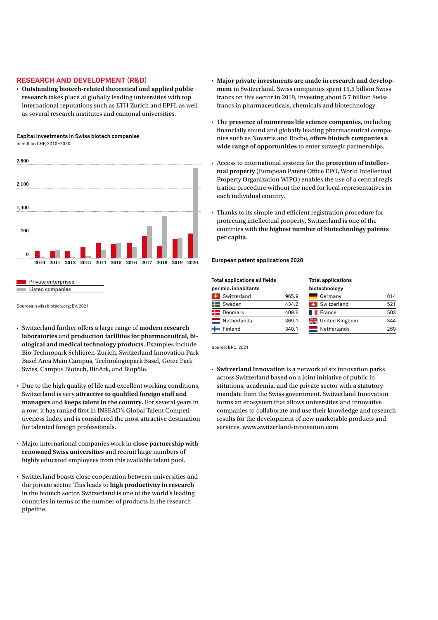# **RESEARCH AND DEVELOPMENT (R&D)**

**• Outstanding biotech-related theoretical and applied public research** takes place at globally leading universities with top international reputations such as ETH Zurich and EPFL as well as several research institutes and cantonal universities.

**Capital investments in Swiss biotech companies** in million CHF, 2010–2020





Sources: swissbiotech.org; EV, 2021

- Switzerland further offers a large range of **modern research laboratories** and **production facilities for pharmaceutical, biological and medical technology products.** Examples include Bio-Technopark Schlieren-Zurich, Switzerland Innovation Park Basel Area Main Campus, Technologiepark Basel, Getec Park Swiss, Campus Biotech, BioArk, and Biopôle.
- Due to the high quality of life and excellent working conditions, Switzerland is very **attractive to qualified foreign staff and managers** and **keeps talent in the country.** For several years in a row, it has ranked first in INSEAD's Global Talent Competitiveness Index and is considered the most attractive destination for talented foreign professionals.
- Major international companies work in **close partnership with renowned Swiss universities** and recruit large numbers of highly educated employees from this available talent pool.
- Switzerland boasts close cooperation between universities and the private sector. This leads to **high productivity in research**  in the biotech sector. Switzerland is one of the world's leading countries in terms of the number of products in the research pipeline.
- **• Major private investments are made in research and development** in Switzerland. Swiss companies spent 15.5 billion Swiss francs on this sector in 2019, investing about 5.7 billion Swiss francs in pharmaceuticals, chemicals and biotechnology.
- The **presence of numerous life science companies**, including financially sound and globally leading pharmaceutical companies such as Novartis and Roche, **offers biotech companies a wide range of opportunities** to enter strategic partnerships.
- Access to international systems for the **protection of intellectual property** (European Patent Office EPO, World Intellectual Property Organization WIPO) enables the use of a central registration procedure without the need for local representatives in each individual country.
- Thanks to its simple and efficient registration procedure for protecting intellectual property, Switzerland is one of the countries with **the highest number of biotechnology patents per capita**.

**European patent applications 2020**

#### **Total applications all fields**

| per mio. inhabitants |       | biotechnology    |     |
|----------------------|-------|------------------|-----|
| Switzerland          | 965.9 | Germany          | 814 |
| Sweden               | 434.2 | Switzerland<br>÷ | 521 |
| Denmark              | 409.6 | France           | 503 |
| Netherlands          | 369.1 | United Kingdom   | 344 |
| Finland              | 340.1 | Netherlands      | 269 |

**Total applications** 

Source: EPO, 2021

**• Switzerland Innovation** is a network of six innovation parks across Switzerland based on a joint initiative of public institutions, academia, and the private sector with a statutory mandate from the Swiss government. Switzerland Innovation forms an ecosystem that allows universities and innovative companies to collaborate and use their knowledge and research results for the development of new marketable products and services. www.switzerland-innovation.com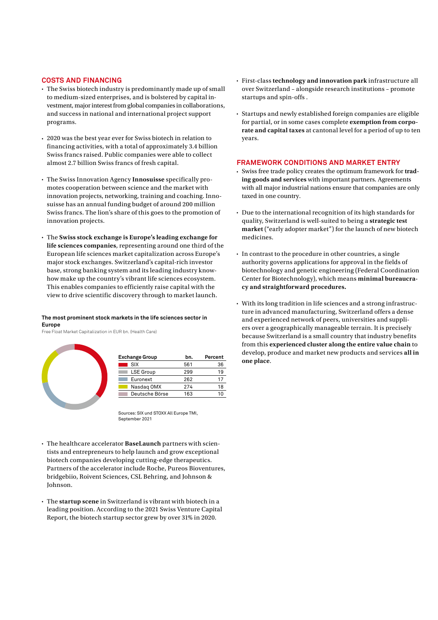#### **COSTS AND FINANCING**

- The Swiss biotech industry is predominantly made up of small to medium-sized enterprises, and is bolstered by capital investment, major interest from global companies in collaborations, and success in national and international project support programs.
- 2020 was the best year ever for Swiss biotech in relation to financing activities, with a total of approximately 3.4 billion Swiss francs raised. Public companies were able to collect almost 2.7 billion Swiss francs of fresh capital.
- The Swiss Innovation Agency **Innosuisse** specifically promotes cooperation between science and the market with innovation projects, networking, training and coaching. Innosuisse has an annual funding budget of around 200 million Swiss francs. The lion's share of this goes to the promotion of innovation projects.
- The **Swiss stock exchange is Europe's leading exchange for life sciences companies**, representing around one third of the European life sciences market capitalization across Europe's major stock exchanges. Switzerland's capital-rich investor base, strong banking system and its leading industry knowhow make up the country's vibrant life sciences ecosystem. This enables companies to efficiently raise capital with the view to drive scientific discovery through to market launch.

#### **The most prominent stock markets in the life sciences sector in Europe**

Free Float Market Capitalization in EUR bn. (Health Care)



| <b>Exchange Group</b> | bn. | Percent |
|-----------------------|-----|---------|
| SIX                   | 561 | 36      |
| <b>LSE Group</b>      | 299 | 19      |
| Euronext              | 262 | 17      |
| Nasdag OMX            | 274 | 18      |
| Deutsche Börse        | 163 | 10      |

Sources: SIX und STOXX All Europe TMI, September 2021

- The healthcare accelerator **BaseLaunch** partners with scientists and entrepreneurs to help launch and grow exceptional biotech companies developing cutting-edge therapeutics. Partners of the accelerator include Roche, Pureos Bioventures, bridgebiio, Roivent Sciences, CSL Behring, and Johnson & Johnson.
- The **startup scene** in Switzerland is vibrant with biotech in a leading position. According to the 2021 Swiss Venture Capital Report, the biotech startup sector grew by over 31% in 2020.
- First-class **technology and innovation park** infrastructure all over Switzerland – alongside research institutions – promote startups and spin-offs .
- Startups and newly established foreign companies are eligible for partial, or in some cases complete **exemption from corporate and capital taxes** at cantonal level for a period of up to ten years.

#### **FRAMEWORK CONDITIONS AND MARKET ENTRY**

- Swiss free trade policy creates the optimum framework for **trading goods and services** with important partners. Agreements with all major industrial nations ensure that companies are only taxed in one country.
- Due to the international recognition of its high standards for quality, Switzerland is well-suited to being a **strategic test market** ("early adopter market") for the launch of new biotech medicines.
- In contrast to the procedure in other countries, a single authority governs applications for approval in the fields of biotechnology and genetic engineering (Federal Coordination Center for Biotechnology), which means **minimal bureaucracy and straightforward procedures.**
- With its long tradition in life sciences and a strong infrastructure in advanced manufacturing, Switzerland offers a dense and experienced network of peers, universities and suppliers over a geographically manageable terrain. It is precisely because Switzerland is a small country that industry benefits from this **experienced cluster along the entire value chain** to develop, produce and market new products and services **all in one place**.